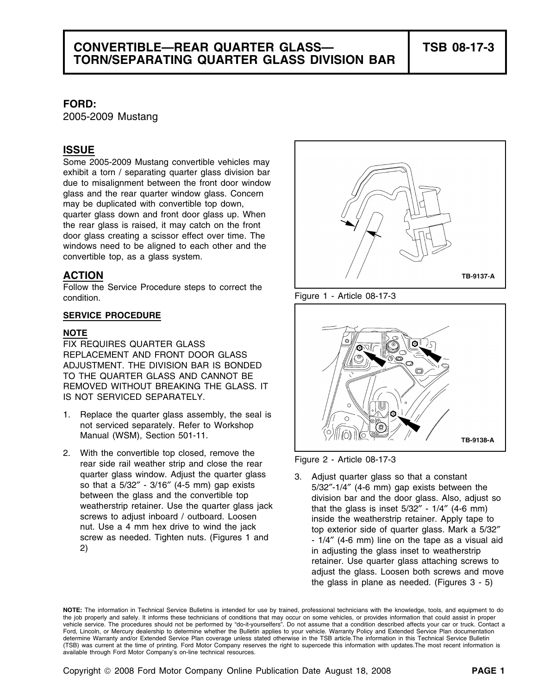# **CONVERTIBLE—REAR QUARTER GLASS— TSB 08-17-3 TORN/SEPARATING QUARTER GLASS DIVISION BAR**

### **FORD:**

2005-2009 Mustang

# **ISSUE**

Some 2005-2009 Mustang convertible vehicles may exhibit a torn / separating quarter glass division bar due to misalignment between the front door window glass and the rear quarter window glass. Concern may be duplicated with convertible top down, quarter glass down and front door glass up. When the rear glass is raised, it may catch on the front door glass creating a scissor effect over time. The windows need to be aligned to each other and the convertible top, as a glass system.

## **ACTION**

Follow the Service Procedure steps to correct the condition. The condition of the condition of the condition.

#### **SERVICE PROCEDURE**

#### **NOTE**

FIX REQUIRES QUARTER GLASS REPLACEMENT AND FRONT DOOR GLASS ADJUSTMENT. THE DIVISION BAR IS BONDED TO THE QUARTER GLASS AND CANNOT BE REMOVED WITHOUT BREAKING THE GLASS. IT IS NOT SERVICED SEPARATELY.

- 1. Replace the quarter glass assembly, the seal is not serviced separately. Refer to Workshop Manual (WSM), Section 501-11.
- 2. With the convertible top closed, remove the Figure 2 Article 08-17-3 rear side rail weather strip and close the rear





quarter glass window. Adjust the quarter glass<br>so that a 5/32" - 3/16" (4-5 mm) gap exists<br>between the glass and the convertible top<br>weatherstrip retainer. Use the quarter glass jack<br>screws to adjust inboard / outboard. Lo retainer. Use quarter glass attaching screws to adjust the glass. Loosen both screws and move the glass in plane as needed. (Figures 3 - 5)

**NOTE:** The information in Technical Service Bulletins is intended for use by trained, professional technicians with the knowledge, tools, and equipment to do the job properly and safely. It informs these technicians of conditions that may occur on some vehicles, or provides information that could assist in proper vehicle service. The procedures should not be performed by "do-it-yourselfers". Do not assume that a condition described affects your car or truck. Contact a Ford, Lincoln, or Mercury dealership to determine whether the Bulletin applies to your vehicle. Warranty Policy and Extended Service Plan documentation determine Warranty and/or Extended Service Plan coverage unless stated otherwise in the TSB article.The information in this Technical Service Bulletin (TSB) was current at the time of printing. Ford Motor Company reserves the right to supercede this information with updates.The most recent information is available through Ford Motor Company's on-line technical resources.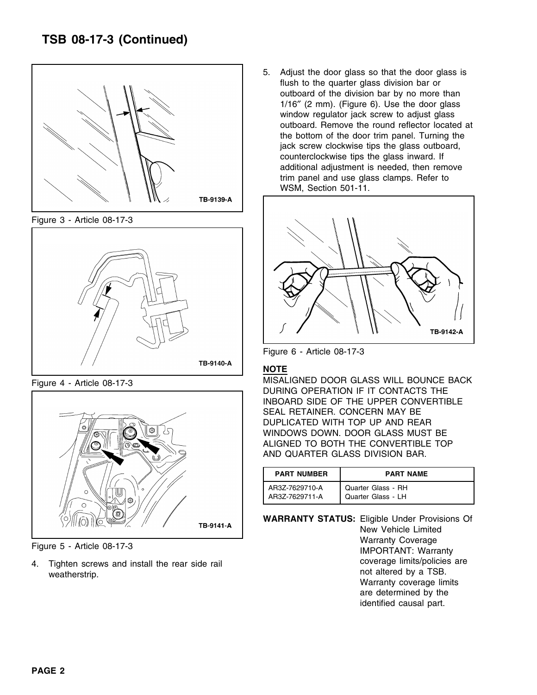# **TSB 08-17-3 (Continued)**



Figure 3 - Article 08-17-3





5. Adjust the door glass so that the door glass is flush to the quarter glass division bar or outboard of the division bar by no more than 1/16″ (2 mm). (Figure 6). Use the door glass window regulator jack screw to adjust glass outboard. Remove the round reflector located at the bottom of the door trim panel. Turning the jack screw clockwise tips the glass outboard, counterclockwise tips the glass inward. If additional adjustment is needed, then remove trim panel and use glass clamps. Refer to WSM, Section 501-11.



Figure 6 - Article 08-17-3

## **NOTE**

Figure 4 - Article 08-17-3 MISALIGNED DOOR GLASS WILL BOUNCE BACK DURING OPERATION IF IT CONTACTS THE INBOARD SIDE OF THE UPPER CONVERTIBLE SEAL RETAINER. CONCERN MAY BE DUPLICATED WITH TOP UP AND REAR WINDOWS DOWN. DOOR GLASS MUST BE ALIGNED TO BOTH THE CONVERTIBLE TOP AND QUARTER GLASS DIVISION BAR.

| <b>PART NUMBER</b> | <b>PART NAME</b>   |  |  |
|--------------------|--------------------|--|--|
| AR3Z-7629710-A     | Quarter Glass - RH |  |  |
| AR3Z-7629711-A     | Quarter Glass - LH |  |  |

**WARRANTY STATUS:** Eligible Under Provisions Of New Vehicle Limited UNITY OF THE MATTED STATES IN THE MATTED STATES OF THE FIGURE 5 - Article 08-17-3 IMPORTANT: Warranty Coverage coverage limits/policies are 4. Tighten screws and install the rear side rail weatherstrip. The means of the contract of the contract of the contract of the contract of the measurement of the measurement of the measurement of the measurement of the measurement of the measurement of the measurement o Warranty coverage limits are determined by the identified causal part.